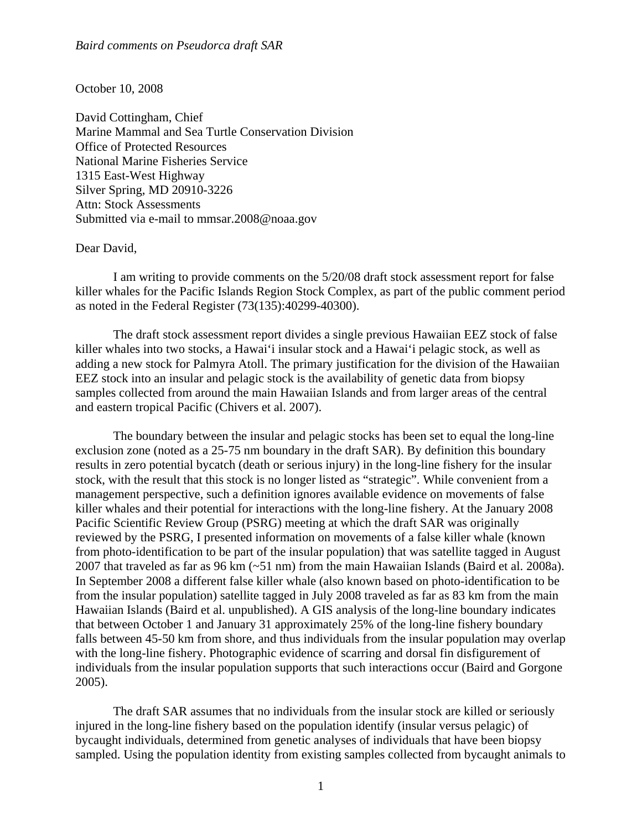## October 10, 2008

David Cottingham, Chief Marine Mammal and Sea Turtle Conservation Division Office of Protected Resources National Marine Fisheries Service 1315 East-West Highway Silver Spring, MD 20910-3226 Attn: Stock Assessments Submitted via e-mail to mmsar.2008@noaa.gov

## Dear David,

 I am writing to provide comments on the 5/20/08 draft stock assessment report for false killer whales for the Pacific Islands Region Stock Complex, as part of the public comment period as noted in the Federal Register (73(135):40299-40300).

 The draft stock assessment report divides a single previous Hawaiian EEZ stock of false killer whales into two stocks, a Hawai'i insular stock and a Hawai'i pelagic stock, as well as adding a new stock for Palmyra Atoll. The primary justification for the division of the Hawaiian EEZ stock into an insular and pelagic stock is the availability of genetic data from biopsy samples collected from around the main Hawaiian Islands and from larger areas of the central and eastern tropical Pacific (Chivers et al. 2007).

 The boundary between the insular and pelagic stocks has been set to equal the long-line exclusion zone (noted as a 25-75 nm boundary in the draft SAR). By definition this boundary results in zero potential bycatch (death or serious injury) in the long-line fishery for the insular stock, with the result that this stock is no longer listed as "strategic". While convenient from a management perspective, such a definition ignores available evidence on movements of false killer whales and their potential for interactions with the long-line fishery. At the January 2008 Pacific Scientific Review Group (PSRG) meeting at which the draft SAR was originally reviewed by the PSRG, I presented information on movements of a false killer whale (known from photo-identification to be part of the insular population) that was satellite tagged in August 2007 that traveled as far as 96 km (~51 nm) from the main Hawaiian Islands (Baird et al. 2008a). In September 2008 a different false killer whale (also known based on photo-identification to be from the insular population) satellite tagged in July 2008 traveled as far as 83 km from the main Hawaiian Islands (Baird et al. unpublished). A GIS analysis of the long-line boundary indicates that between October 1 and January 31 approximately 25% of the long-line fishery boundary falls between 45-50 km from shore, and thus individuals from the insular population may overlap with the long-line fishery. Photographic evidence of scarring and dorsal fin disfigurement of individuals from the insular population supports that such interactions occur (Baird and Gorgone 2005).

 The draft SAR assumes that no individuals from the insular stock are killed or seriously injured in the long-line fishery based on the population identify (insular versus pelagic) of bycaught individuals, determined from genetic analyses of individuals that have been biopsy sampled. Using the population identity from existing samples collected from bycaught animals to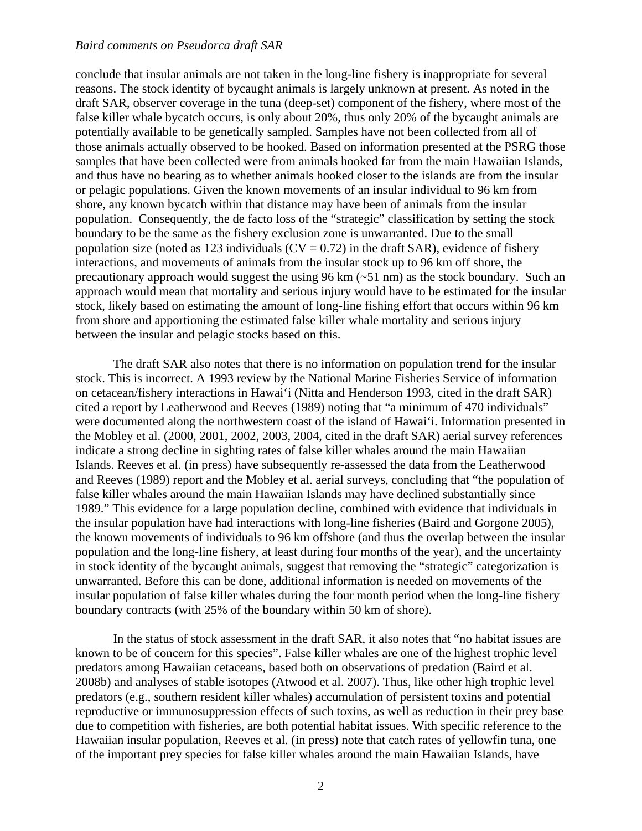## *Baird comments on Pseudorca draft SAR*

conclude that insular animals are not taken in the long-line fishery is inappropriate for several reasons. The stock identity of bycaught animals is largely unknown at present. As noted in the draft SAR, observer coverage in the tuna (deep-set) component of the fishery, where most of the false killer whale bycatch occurs, is only about 20%, thus only 20% of the bycaught animals are potentially available to be genetically sampled. Samples have not been collected from all of those animals actually observed to be hooked. Based on information presented at the PSRG those samples that have been collected were from animals hooked far from the main Hawaiian Islands, and thus have no bearing as to whether animals hooked closer to the islands are from the insular or pelagic populations. Given the known movements of an insular individual to 96 km from shore, any known bycatch within that distance may have been of animals from the insular population. Consequently, the de facto loss of the "strategic" classification by setting the stock boundary to be the same as the fishery exclusion zone is unwarranted. Due to the small population size (noted as 123 individuals ( $CV = 0.72$ ) in the draft SAR), evidence of fishery interactions, and movements of animals from the insular stock up to 96 km off shore, the precautionary approach would suggest the using 96 km (~51 nm) as the stock boundary. Such an approach would mean that mortality and serious injury would have to be estimated for the insular stock, likely based on estimating the amount of long-line fishing effort that occurs within 96 km from shore and apportioning the estimated false killer whale mortality and serious injury between the insular and pelagic stocks based on this.

 The draft SAR also notes that there is no information on population trend for the insular stock. This is incorrect. A 1993 review by the National Marine Fisheries Service of information on cetacean/fishery interactions in Hawai'i (Nitta and Henderson 1993, cited in the draft SAR) cited a report by Leatherwood and Reeves (1989) noting that "a minimum of 470 individuals" were documented along the northwestern coast of the island of Hawai'i. Information presented in the Mobley et al. (2000, 2001, 2002, 2003, 2004, cited in the draft SAR) aerial survey references indicate a strong decline in sighting rates of false killer whales around the main Hawaiian Islands. Reeves et al. (in press) have subsequently re-assessed the data from the Leatherwood and Reeves (1989) report and the Mobley et al. aerial surveys, concluding that "the population of false killer whales around the main Hawaiian Islands may have declined substantially since 1989." This evidence for a large population decline, combined with evidence that individuals in the insular population have had interactions with long-line fisheries (Baird and Gorgone 2005), the known movements of individuals to 96 km offshore (and thus the overlap between the insular population and the long-line fishery, at least during four months of the year), and the uncertainty in stock identity of the bycaught animals, suggest that removing the "strategic" categorization is unwarranted. Before this can be done, additional information is needed on movements of the insular population of false killer whales during the four month period when the long-line fishery boundary contracts (with 25% of the boundary within 50 km of shore).

 In the status of stock assessment in the draft SAR, it also notes that "no habitat issues are known to be of concern for this species". False killer whales are one of the highest trophic level predators among Hawaiian cetaceans, based both on observations of predation (Baird et al. 2008b) and analyses of stable isotopes (Atwood et al. 2007). Thus, like other high trophic level predators (e.g., southern resident killer whales) accumulation of persistent toxins and potential reproductive or immunosuppression effects of such toxins, as well as reduction in their prey base due to competition with fisheries, are both potential habitat issues. With specific reference to the Hawaiian insular population, Reeves et al. (in press) note that catch rates of yellowfin tuna, one of the important prey species for false killer whales around the main Hawaiian Islands, have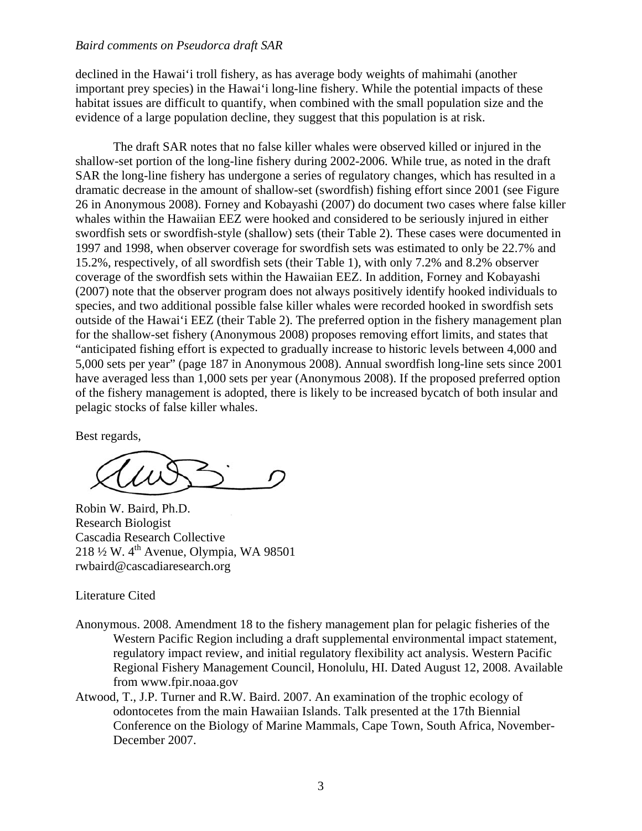## *Baird comments on Pseudorca draft SAR*

declined in the Hawai'i troll fishery, as has average body weights of mahimahi (another important prey species) in the Hawai'i long-line fishery. While the potential impacts of these habitat issues are difficult to quantify, when combined with the small population size and the evidence of a large population decline, they suggest that this population is at risk.

 The draft SAR notes that no false killer whales were observed killed or injured in the shallow-set portion of the long-line fishery during 2002-2006. While true, as noted in the draft SAR the long-line fishery has undergone a series of regulatory changes, which has resulted in a dramatic decrease in the amount of shallow-set (swordfish) fishing effort since 2001 (see Figure 26 in Anonymous 2008). Forney and Kobayashi (2007) do document two cases where false killer whales within the Hawaiian EEZ were hooked and considered to be seriously injured in either swordfish sets or swordfish-style (shallow) sets (their Table 2). These cases were documented in 1997 and 1998, when observer coverage for swordfish sets was estimated to only be 22.7% and 15.2%, respectively, of all swordfish sets (their Table 1), with only 7.2% and 8.2% observer coverage of the swordfish sets within the Hawaiian EEZ. In addition, Forney and Kobayashi (2007) note that the observer program does not always positively identify hooked individuals to species, and two additional possible false killer whales were recorded hooked in swordfish sets outside of the Hawai'i EEZ (their Table 2). The preferred option in the fishery management plan for the shallow-set fishery (Anonymous 2008) proposes removing effort limits, and states that "anticipated fishing effort is expected to gradually increase to historic levels between 4,000 and 5,000 sets per year" (page 187 in Anonymous 2008). Annual swordfish long-line sets since 2001 have averaged less than 1,000 sets per year (Anonymous 2008). If the proposed preferred option of the fishery management is adopted, there is likely to be increased bycatch of both insular and pelagic stocks of false killer whales.

Best regards,

Robin W. Baird, Ph.D. Research Biologist Cascadia Research Collective 218 ½ W. 4th Avenue, Olympia, WA 98501 rwbaird@cascadiaresearch.org

Literature Cited

- Anonymous. 2008. Amendment 18 to the fishery management plan for pelagic fisheries of the Western Pacific Region including a draft supplemental environmental impact statement, regulatory impact review, and initial regulatory flexibility act analysis. Western Pacific Regional Fishery Management Council, Honolulu, HI. Dated August 12, 2008. Available from www.fpir.noaa.gov
- Atwood, T., J.P. Turner and R.W. Baird. 2007. An examination of the trophic ecology of odontocetes from the main Hawaiian Islands. Talk presented at the 17th Biennial Conference on the Biology of Marine Mammals, Cape Town, South Africa, November-December 2007.